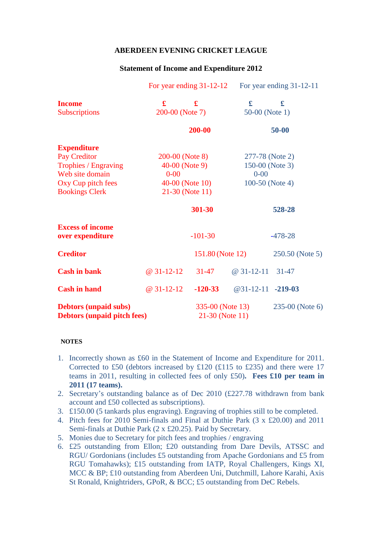## **ABERDEEN EVENING CRICKET LEAGUE**

## **Statement of Income and Expenditure 2012**

|                                                                    | For year ending $31-12-12$ |                                     | For year ending 31-12-11 |                 |
|--------------------------------------------------------------------|----------------------------|-------------------------------------|--------------------------|-----------------|
| <b>Income</b>                                                      | £                          | $\mathbf f$                         | $\mathbf f$              | £               |
| Subscriptions                                                      | 200-00 (Note 7)            |                                     | 50-00 (Note 1)           |                 |
|                                                                    | 200-00                     |                                     | $50 - 00$                |                 |
| <b>Expenditure</b>                                                 |                            |                                     |                          |                 |
| Pay Creditor                                                       | 200-00 (Note 8)            |                                     | 277-78 (Note 2)          |                 |
| Trophies / Engraving                                               | $40-00$ (Note 9)           |                                     | 150-00 (Note 3)          |                 |
| Web site domain                                                    | $0 - 00$                   |                                     | $0 - 00$                 |                 |
| Oxy Cup pitch fees                                                 | $40-00$ (Note 10)          |                                     | 100-50 (Note 4)          |                 |
| <b>Bookings Clerk</b>                                              |                            | 21-30 (Note 11)                     |                          |                 |
|                                                                    |                            | 301-30                              |                          | 528-28          |
| <b>Excess of income</b><br>over expenditure                        |                            | $-101-30$                           |                          | $-478-28$       |
| <b>Creditor</b>                                                    |                            | 151.80 (Note 12)                    |                          | 250.50 (Note 5) |
| <b>Cash in bank</b>                                                | $@31-12-12$                | $31 - 47$                           | @ 31-12-11 31-47         |                 |
| <b>Cash in hand</b>                                                | $@31-12-12$                | $-120-33$                           | $@31-12-11$ -219-03      |                 |
| <b>Debtors (unpaid subs)</b><br><b>Debtors (unpaid pitch fees)</b> |                            | 335-00 (Note 13)<br>21-30 (Note 11) |                          | 235-00 (Note 6) |

## **NOTES**

- 1. Incorrectly shown as £60 in the Statement of Income and Expenditure for 2011. Corrected to £50 (debtors increased by £120 (£115 to £235) and there were 17 teams in 2011, resulting in collected fees of only £50)**. Fees £10 per team in 2011 (17 teams).**
- 2. Secretary's outstanding balance as of Dec 2010 (£227.78 withdrawn from bank account and £50 collected as subscriptions).
- 3. £150.00 (5 tankards plus engraving). Engraving of trophies still to be completed.
- 4. Pitch fees for 2010 Semi-finals and Final at Duthie Park (3 x £20.00) and 2011 Semi-finals at Duthie Park (2 x £20.25). Paid by Secretary.
- 5. Monies due to Secretary for pitch fees and trophies / engraving
- 6. £25 outstanding from Ellon; £20 outstanding from Dare Devils, ATSSC and RGU/ Gordonians (includes £5 outstanding from Apache Gordonians and £5 from RGU Tomahawks); £15 outstanding from IATP, Royal Challengers, Kings XI, MCC & BP; £10 outstanding from Aberdeen Uni, Dutchmill, Lahore Karahi, Axis St Ronald, Knightriders, GPoR, & BCC; £5 outstanding from DeC Rebels.